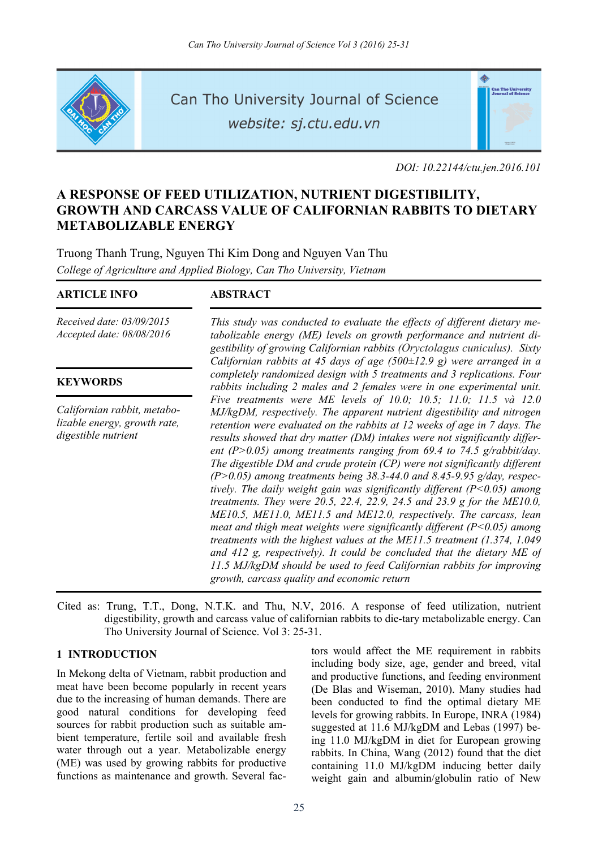

Can Tho University Journal of Science website: sj.ctu.edu.vn



*DOI: 10.22144/ctu.jen.2016.101* 

# **A RESPONSE OF FEED UTILIZATION, NUTRIENT DIGESTIBILITY, GROWTH AND CARCASS VALUE OF CALIFORNIAN RABBITS TO DIETARY METABOLIZABLE ENERGY**

Truong Thanh Trung, Nguyen Thi Kim Dong and Nguyen Van Thu *College of Agriculture and Applied Biology, Can Tho University, Vietnam*

## **ARTICLE INFO ABSTRACT**

*Received date: 03/09/2015 Accepted date: 08/08/2016*

## **KEYWORDS**

*Californian rabbit, metabolizable energy, growth rate, digestible nutrient*

*This study was conducted to evaluate the effects of different dietary metabolizable energy (ME) levels on growth performance and nutrient digestibility of growing Californian rabbits (Oryctolagus cuniculus). Sixty Californian rabbits at 45 days of age (500±12.9 g) were arranged in a completely randomized design with 5 treatments and 3 replications. Four rabbits including 2 males and 2 females were in one experimental unit. Five treatments were ME levels of 10.0; 10.5; 11.0; 11.5 và 12.0 MJ/kgDM, respectively. The apparent nutrient digestibility and nitrogen retention were evaluated on the rabbits at 12 weeks of age in 7 days. The results showed that dry matter (DM) intakes were not significantly different (P>0.05) among treatments ranging from 69.4 to 74.5 g/rabbit/day. The digestible DM and crude protein (CP) were not significantly different (P>0.05) among treatments being 38.3-44.0 and 8.45-9.95 g/day, respectively. The daily weight gain was significantly different (P<0.05) among treatments. They were 20.5, 22.4, 22.9, 24.5 and 23.9 g for the ME10.0, ME10.5, ME11.0, ME11.5 and ME12.0, respectively. The carcass, lean meat and thigh meat weights were significantly different (P<0.05) among treatments with the highest values at the ME11.5 treatment (1.374, 1.049 and 412 g, respectively). It could be concluded that the dietary ME of 11.5 MJ/kgDM should be used to feed Californian rabbits for improving growth, carcass quality and economic return* 

Cited as: Trung, T.T., Dong, N.T.K. and Thu, N.V, 2016. A response of feed utilization, nutrient digestibility, growth and carcass value of californian rabbits to die-tary metabolizable energy. Can Tho University Journal of Science. Vol 3: 25-31.

## **1 INTRODUCTION**

In Mekong delta of Vietnam, rabbit production and meat have been become popularly in recent years due to the increasing of human demands. There are good natural conditions for developing feed sources for rabbit production such as suitable ambient temperature, fertile soil and available fresh water through out a year. Metabolizable energy (ME) was used by growing rabbits for productive functions as maintenance and growth. Several factors would affect the ME requirement in rabbits including body size, age, gender and breed, vital and productive functions, and feeding environment (De Blas and Wiseman, 2010). Many studies had been conducted to find the optimal dietary ME levels for growing rabbits. In Europe, INRA (1984) suggested at 11.6 MJ/kgDM and Lebas (1997) being 11.0 MJ/kgDM in diet for European growing rabbits. In China, Wang (2012) found that the diet containing 11.0 MJ/kgDM inducing better daily weight gain and albumin/globulin ratio of New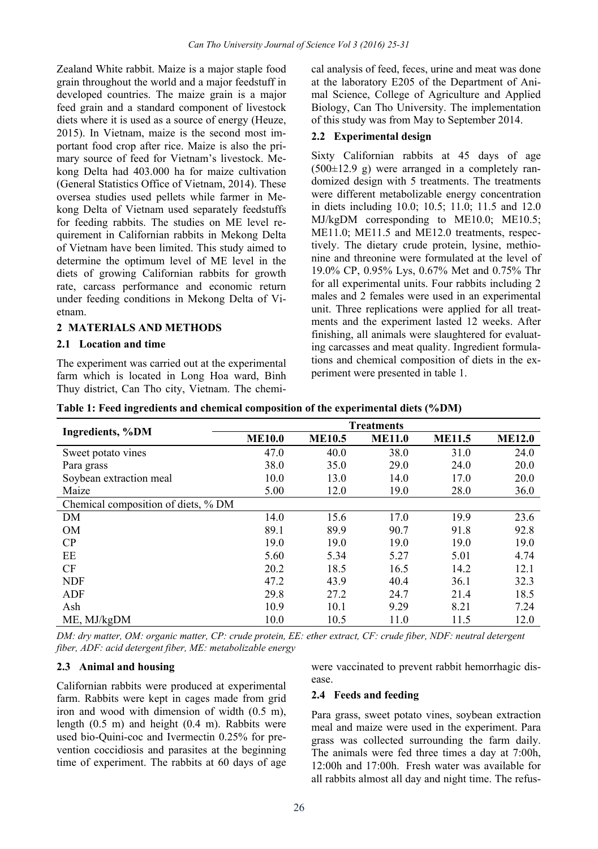Zealand White rabbit. Maize is a major staple food grain throughout the world and a major feedstuff in developed countries. The maize grain is a major feed grain and a standard component of livestock diets where it is used as a source of energy (Heuze, 2015). In Vietnam, maize is the second most important food crop after rice. Maize is also the primary source of feed for Vietnam's livestock. Mekong Delta had 403.000 ha for maize cultivation (General Statistics Office of Vietnam, 2014). These oversea studies used pellets while farmer in Mekong Delta of Vietnam used separately feedstuffs for feeding rabbits. The studies on ME level requirement in Californian rabbits in Mekong Delta of Vietnam have been limited. This study aimed to determine the optimum level of ME level in the diets of growing Californian rabbits for growth rate, carcass performance and economic return under feeding conditions in Mekong Delta of Vietnam.

## **2 MATERIALS AND METHODS**

#### **2.1 Location and time**

The experiment was carried out at the experimental farm which is located in Long Hoa ward, Binh Thuy district, Can Tho city, Vietnam. The chemical analysis of feed, feces, urine and meat was done at the laboratory E205 of the Department of Animal Science, College of Agriculture and Applied Biology, Can Tho University. The implementation of this study was from May to September 2014.

#### **2.2 Experimental design**

Sixty Californian rabbits at 45 days of age  $(500\pm12.9 \text{ g})$  were arranged in a completely randomized design with 5 treatments. The treatments were different metabolizable energy concentration in diets including 10.0; 10.5; 11.0; 11.5 and 12.0 MJ/kgDM corresponding to ME10.0; ME10.5; ME11.0; ME11.5 and ME12.0 treatments, respectively. The dietary crude protein, lysine, methionine and threonine were formulated at the level of 19.0% CP, 0.95% Lys, 0.67% Met and 0.75% Thr for all experimental units. Four rabbits including 2 males and 2 females were used in an experimental unit. Three replications were applied for all treatments and the experiment lasted 12 weeks. After finishing, all animals were slaughtered for evaluating carcasses and meat quality. Ingredient formulations and chemical composition of diets in the experiment were presented in table 1.

| Ingredients, %DM                    | <b>ME10.0</b> | <b>ME10.5</b> | <b>ME11.0</b> | <b>ME11.5</b> | <b>ME12.0</b> |
|-------------------------------------|---------------|---------------|---------------|---------------|---------------|
| Sweet potato vines                  | 47.0          | 40.0          | 38.0          | 31.0          | 24.0          |
| Para grass                          | 38.0          | 35.0          | 29.0          | 24.0          | 20.0          |
| Soybean extraction meal             | 10.0          | 13.0          | 14.0          | 17.0          | 20.0          |
| Maize                               | 5.00          | 12.0          | 19.0          | 28.0          | 36.0          |
| Chemical composition of diets, % DM |               |               |               |               |               |
| DM                                  | 14.0          | 15.6          | 17.0          | 19.9          | 23.6          |
| <b>OM</b>                           | 89.1          | 89.9          | 90.7          | 91.8          | 92.8          |
| CP                                  | 19.0          | 19.0          | 19.0          | 19.0          | 19.0          |
| EE                                  | 5.60          | 5.34          | 5.27          | 5.01          | 4.74          |
| <b>CF</b>                           | 20.2          | 18.5          | 16.5          | 14.2          | 12.1          |
| <b>NDF</b>                          | 47.2          | 43.9          | 40.4          | 36.1          | 32.3          |
| ADF                                 | 29.8          | 27.2          | 24.7          | 21.4          | 18.5          |
| Ash                                 | 10.9          | 10.1          | 9.29          | 8.21          | 7.24          |
| ME. MJ/kgDM                         | 10.0          | 10.5          | 11.0          | 11.5          | 12.0          |

**Table 1: Feed ingredients and chemical composition of the experimental diets (%DM)** 

*DM: dry matter, OM: organic matter, CP: crude protein, EE: ether extract, CF: crude fiber, NDF: neutral detergent fiber, ADF: acid detergent fiber, ME: metabolizable energy* 

#### **2.3 Animal and housing**

Californian rabbits were produced at experimental farm. Rabbits were kept in cages made from grid iron and wood with dimension of width (0.5 m), length (0.5 m) and height (0.4 m). Rabbits were used bio-Quini-coc and Ivermectin 0.25% for prevention coccidiosis and parasites at the beginning time of experiment. The rabbits at 60 days of age were vaccinated to prevent rabbit hemorrhagic disease.

#### **2.4 Feeds and feeding**

Para grass, sweet potato vines, soybean extraction meal and maize were used in the experiment. Para grass was collected surrounding the farm daily. The animals were fed three times a day at 7:00h, 12:00h and 17:00h. Fresh water was available for all rabbits almost all day and night time. The refus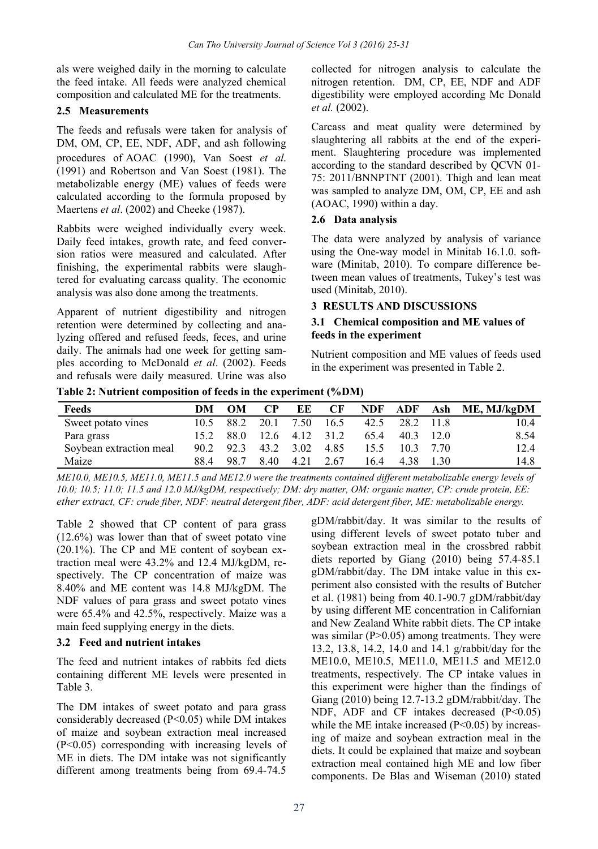als were weighed daily in the morning to calculate the feed intake. All feeds were analyzed chemical composition and calculated ME for the treatments.

## **2.5 Measurements**

The feeds and refusals were taken for analysis of DM, OM, CP, EE, NDF, ADF, and ash following procedures of AOAC (1990), Van Soest *et al*. (1991) and Robertson and Van Soest (1981). The metabolizable energy (ME) values of feeds were calculated according to the formula proposed by Maertens *et al*. (2002) and Cheeke (1987).

Rabbits were weighed individually every week. Daily feed intakes, growth rate, and feed conversion ratios were measured and calculated. After finishing, the experimental rabbits were slaughtered for evaluating carcass quality. The economic analysis was also done among the treatments.

Apparent of nutrient digestibility and nitrogen retention were determined by collecting and analyzing offered and refused feeds, feces, and urine daily. The animals had one week for getting samples according to McDonald *et al*. (2002). Feeds and refusals were daily measured. Urine was also

collected for nitrogen analysis to calculate the nitrogen retention. DM, CP, EE, NDF and ADF digestibility were employed according Mc Donald *et al.* (2002).

Carcass and meat quality were determined by slaughtering all rabbits at the end of the experiment. Slaughtering procedure was implemented according to the standard described by QCVN 01- 75: 2011/BNNPTNT (2001). Thigh and lean meat was sampled to analyze DM, OM, CP, EE and ash (AOAC, 1990) within a day.

## **2.6 Data analysis**

The data were analyzed by analysis of variance using the One-way model in Minitab 16.1.0. software (Minitab, 2010). To compare difference between mean values of treatments, Tukey's test was used (Minitab, 2010).

## **3 RESULTS AND DISCUSSIONS**

## **3.1 Chemical composition and ME values of feeds in the experiment**

Nutrient composition and ME values of feeds used in the experiment was presented in Table 2.

**Table 2: Nutrient composition of feeds in the experiment (%DM)** 

| Feeds                   | DМ   | <b>OM</b> | $\bf CP$ | ЕE                  | CF   | <b>NDF</b> |             |             | ADF Ash ME, MJ/kgDM |
|-------------------------|------|-----------|----------|---------------------|------|------------|-------------|-------------|---------------------|
| Sweet potato vines      | 10.5 | 88.2      | 20.1     | 7.50                | 16.5 | 42.5       | 28.2 11.8   |             | 10.4                |
| Para grass              | 15.2 |           |          | 88.0 12.6 4.12 31.2 |      | 65.4       | $40.3$ 12.0 |             | 8.54                |
| Soybean extraction meal | 90.2 | 92.3      | 43.2     | 3.02                | 4.85 | 15.5       |             | $10.3$ 7.70 | 12.4                |
| Maize                   | 88.4 | 98.7      | 8.40     | 4.21                | 2.67 | 16.4       | 4.38        | 1.30        | 14.8                |

*ME10.0, ME10.5, ME11.0, ME11.5 and ME12.0 were the treatments contained different metabolizable energy levels of 10.0; 10.5; 11.0; 11.5 and 12.0 MJ/kgDM, respectively; DM: dry matter, OM: organic matter, CP: crude protein, EE: ether extract, CF: crude fiber, NDF: neutral detergent fiber, ADF: acid detergent fiber, ME: metabolizable energy.* 

Table 2 showed that CP content of para grass (12.6%) was lower than that of sweet potato vine (20.1%). The CP and ME content of soybean extraction meal were 43.2% and 12.4 MJ/kgDM, respectively. The CP concentration of maize was 8.40% and ME content was 14.8 MJ/kgDM. The NDF values of para grass and sweet potato vines were 65.4% and 42.5%, respectively. Maize was a main feed supplying energy in the diets.

## **3.2 Feed and nutrient intakes**

The feed and nutrient intakes of rabbits fed diets containing different ME levels were presented in Table 3.

The DM intakes of sweet potato and para grass considerably decreased (P<0.05) while DM intakes of maize and soybean extraction meal increased (P<0.05) corresponding with increasing levels of ME in diets. The DM intake was not significantly different among treatments being from 69.4-74.5

gDM/rabbit/day. It was similar to the results of using different levels of sweet potato tuber and soybean extraction meal in the crossbred rabbit diets reported by Giang (2010) being 57.4-85.1 gDM/rabbit/day. The DM intake value in this experiment also consisted with the results of Butcher et al. (1981) being from 40.1-90.7 gDM/rabbit/day by using different ME concentration in Californian and New Zealand White rabbit diets. The CP intake was similar  $(P>0.05)$  among treatments. They were 13.2, 13.8, 14.2, 14.0 and 14.1 g/rabbit/day for the ME10.0, ME10.5, ME11.0, ME11.5 and ME12.0 treatments, respectively. The CP intake values in this experiment were higher than the findings of Giang (2010) being 12.7-13.2 gDM/rabbit/day. The NDF, ADF and CF intakes decreased (P<0.05) while the ME intake increased  $(P<0.05)$  by increasing of maize and soybean extraction meal in the diets. It could be explained that maize and soybean extraction meal contained high ME and low fiber components. De Blas and Wiseman (2010) stated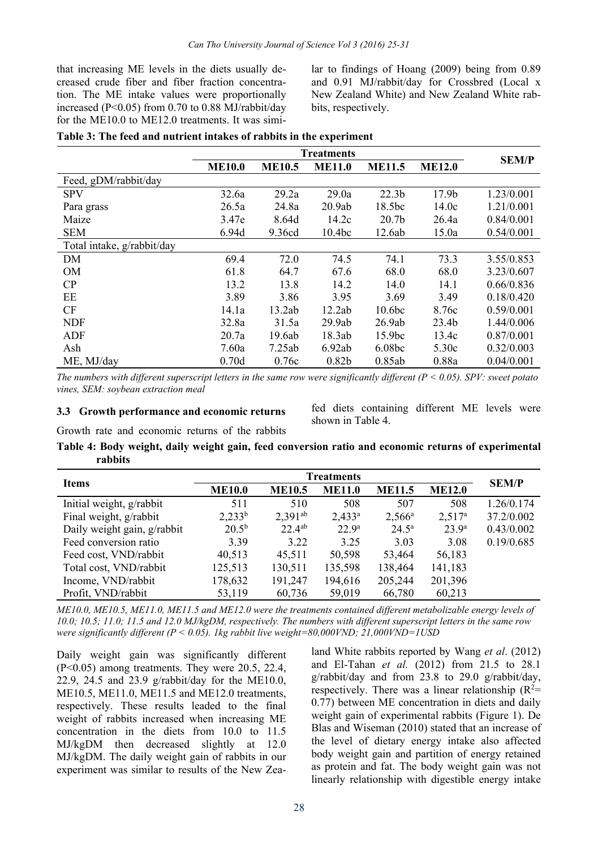that increasing ME levels in the diets usually decreased crude fiber and fiber fraction concentration. The ME intake values were proportionally increased (P<0.05) from 0.70 to 0.88 MJ/rabbit/day for the ME10.0 to ME12.0 treatments. It was similar to findings of Hoang (2009) being from 0.89 and 0.91 MJ/rabbit/day for Crossbred (Local x New Zealand White) and New Zealand White rabbits, respectively.

|  |  |  |  | Table 3: The feed and nutrient intakes of rabbits in the experiment |
|--|--|--|--|---------------------------------------------------------------------|
|--|--|--|--|---------------------------------------------------------------------|

|                            | <b>Treatments</b> |               |                    |                    |                   | <b>SEM/P</b> |
|----------------------------|-------------------|---------------|--------------------|--------------------|-------------------|--------------|
|                            | <b>ME10.0</b>     | <b>ME10.5</b> | <b>ME11.0</b>      | <b>ME11.5</b>      | <b>ME12.0</b>     |              |
| Feed, gDM/rabbit/day       |                   |               |                    |                    |                   |              |
| <b>SPV</b>                 | 32.6a             | 29.2a         | 29.0a              | 22.3 <sub>b</sub>  | 17.9 <sub>b</sub> | 1.23/0.001   |
| Para grass                 | 26.5a             | 24.8a         | 20.9ab             | 18.5 <sub>bc</sub> | 14.0c             | 1.21/0.001   |
| Maize                      | 3.47e             | 8.64d         | 14.2c              | 20.7 <sub>b</sub>  | 26.4a             | 0.84/0.001   |
| <b>SEM</b>                 | 6.94d             | 9.36cd        | 10.4 <sub>bc</sub> | 12.6ab             | 15.0a             | 0.54/0.001   |
| Total intake, g/rabbit/day |                   |               |                    |                    |                   |              |
| DM                         | 69.4              | 72.0          | 74.5               | 74.1               | 73.3              | 3.55/0.853   |
| <b>OM</b>                  | 61.8              | 64.7          | 67.6               | 68.0               | 68.0              | 3.23/0.607   |
| CP                         | 13.2              | 13.8          | 14.2               | 14.0               | 14.1              | 0.66/0.836   |
| EE                         | 3.89              | 3.86          | 3.95               | 3.69               | 3.49              | 0.18/0.420   |
| CF                         | 14.1a             | 13.2ab        | 12.2ab             | 10.6 <sub>bc</sub> | 8.76c             | 0.59/0.001   |
| <b>NDF</b>                 | 32.8a             | 31.5a         | 29.9ab             | 26.9ab             | 23.4 <sub>b</sub> | 1.44/0.006   |
| ADF                        | 20.7a             | 19.6ab        | 18.3ab             | 15.9 <sub>bc</sub> | 13.4c             | 0.87/0.001   |
| Ash                        | 7.60a             | 7.25ab        | 6.92ab             | 6.08 <sub>bc</sub> | 5.30c             | 0.32/0.003   |
| ME, MJ/day                 | 0.70d             | 0.76c         | 0.82 <sub>b</sub>  | 0.85ab             | 0.88a             | 0.04/0.001   |

*The numbers with different superscript letters in the same row were significantly different (P < 0.05). SPV: sweet potato vines, SEM: soybean extraction meal* 

#### **3.3 Growth performance and economic returns**

fed diets containing different ME levels were shown in Table 4.

Growth rate and economic returns of the rabbits

**Table 4: Body weight, daily weight gain, feed conversion ratio and economic returns of experimental rabbits** 

| <b>Items</b>                |                | <b>SEM/P</b>  |                   |                 |                    |            |
|-----------------------------|----------------|---------------|-------------------|-----------------|--------------------|------------|
|                             | <b>ME10.0</b>  | <b>ME10.5</b> | <b>ME11.0</b>     | <b>ME11.5</b>   | <b>ME12.0</b>      |            |
| Initial weight, g/rabbit    | 511            | 510           | 508               | 507             | 508                | 1.26/0.174 |
| Final weight, g/rabbit      | $2,233^b$      | $2,391^{ab}$  | $2.433^a$         | $2,566^{\circ}$ | 2.517 <sup>a</sup> | 37.2/0.002 |
| Daily weight gain, g/rabbit | $20.5^{\rm b}$ | $22.4^{ab}$   | 22.9 <sup>a</sup> | $24.5^{\rm a}$  | 23.9 <sup>a</sup>  | 0.43/0.002 |
| Feed conversion ratio       | 3.39           | 3.22          | 3.25              | 3.03            | 3.08               | 0.19/0.685 |
| Feed cost, VND/rabbit       | 40.513         | 45,511        | 50,598            | 53.464          | 56,183             |            |
| Total cost, VND/rabbit      | 125,513        | 130,511       | 135,598           | 138,464         | 141,183            |            |
| Income, VND/rabbit          | 178,632        | 191,247       | 194,616           | 205,244         | 201,396            |            |
| Profit, VND/rabbit          | 53,119         | 60,736        | 59,019            | 66,780          | 60,213             |            |

*ME10.0, ME10.5, ME11.0, ME11.5 and ME12.0 were the treatments contained different metabolizable energy levels of 10.0; 10.5; 11.0; 11.5 and 12.0 MJ/kgDM, respectively. The numbers with different superscript letters in the same row were significantly different (P < 0.05). 1kg rabbit live weight=80,000VND; 21,000VND=1USD* 

Daily weight gain was significantly different (P<0.05) among treatments. They were 20.5, 22.4, 22.9, 24.5 and 23.9 g/rabbit/day for the ME10.0, ME10.5, ME11.0, ME11.5 and ME12.0 treatments, respectively. These results leaded to the final weight of rabbits increased when increasing ME concentration in the diets from 10.0 to 11.5 MJ/kgDM then decreased slightly at 12.0 MJ/kgDM. The daily weight gain of rabbits in our experiment was similar to results of the New Zealand White rabbits reported by Wang *et al*. (2012) and El-Tahan *et al.* (2012) from 21.5 to 28.1 g/rabbit/day and from 23.8 to 29.0 g/rabbit/day, respectively. There was a linear relationship  $(R^2=$ 0.77) between ME concentration in diets and daily weight gain of experimental rabbits (Figure 1). De Blas and Wiseman (2010) stated that an increase of the level of dietary energy intake also affected body weight gain and partition of energy retained as protein and fat. The body weight gain was not linearly relationship with digestible energy intake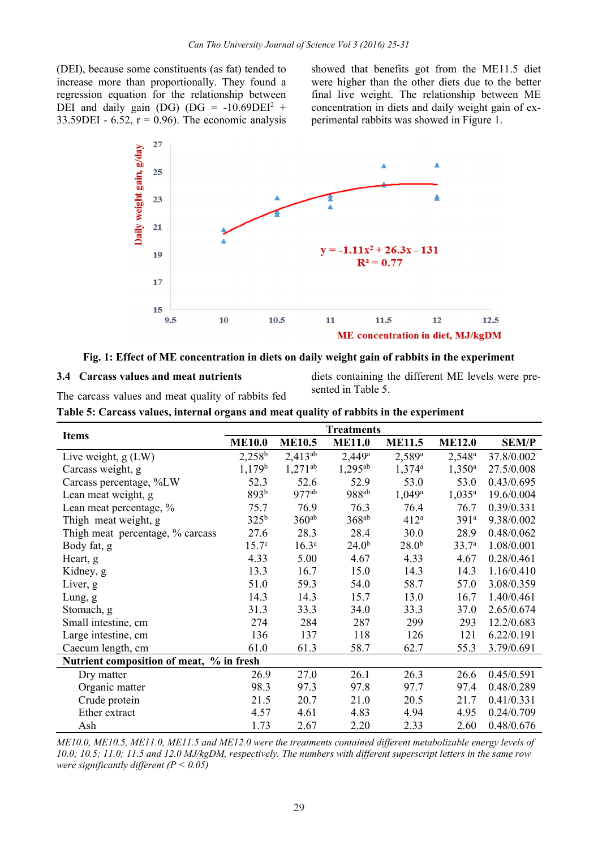(DEI), because some constituents (as fat) tended to increase more than proportionally. They found a regression equation for the relationship between DEI and daily gain (DG) (DG =  $-10.69$ DEI<sup>2</sup> + 33.59DEI - 6.52,  $r = 0.96$ ). The economic analysis

showed that benefits got from the ME11.5 diet were higher than the other diets due to the better final live weight. The relationship between ME concentration in diets and daily weight gain of experimental rabbits was showed in Figure 1.



#### **Fig. 1: Effect of ME concentration in diets on daily weight gain of rabbits in the experiment**

**Table 5: Carcass values, internal organs and meat quality of rabbits in the experiment** 

#### **3.4 Carcass values and meat nutrients**

diets containing the different ME levels were presented in Table 5.

The carcass values and meat quality of rabbits fed

|                                          |                    |                   | <b>Treatments</b> |                   |                   |              |
|------------------------------------------|--------------------|-------------------|-------------------|-------------------|-------------------|--------------|
| <b>Items</b>                             | <b>ME10.0</b>      | <b>ME10.5</b>     | <b>ME11.0</b>     | <b>ME11.5</b>     | <b>ME12.0</b>     | <b>SEM/P</b> |
| Live weight, g (LW)                      | $2,258^b$          | $2,413^{ab}$      | $2,449^a$         | $2,589^{\rm a}$   | $2,548^{\rm a}$   | 37.8/0.002   |
| Carcass weight, g                        | 1,179 <sup>b</sup> | $1,271^{ab}$      | $1,295^{ab}$      | $1,374^{\circ}$   | $1,350^{\rm a}$   | 27.5/0.008   |
| Carcass percentage, %LW                  | 52.3               | 52.6              | 52.9              | 53.0              | 53.0              | 0.43/0.695   |
| Lean meat weight, g                      | 893 <sup>b</sup>   | $977^{ab}$        | 988 <sup>ab</sup> | $1,049^a$         | $1,035^a$         | 19.6/0.004   |
| Lean meat percentage, %                  | 75.7               | 76.9              | 76.3              | 76.4              | 76.7              | 0.39/0.331   |
| Thigh meat weight, g                     | 325 <sup>b</sup>   | 360 <sup>ab</sup> | $368^{ab}$        | 412 <sup>a</sup>  | 391 <sup>a</sup>  | 9.38/0.002   |
| Thigh meat percentage, % carcass         | 27.6               | 28.3              | 28.4              | 30.0              | 28.9              | 0.48/0.062   |
| Body fat, g                              | $15.7^{\circ}$     | 16.3 <sup>c</sup> | 24.0 <sup>b</sup> | 28.0 <sup>b</sup> | 33.7 <sup>a</sup> | 1.08/0.001   |
| Heart, g                                 | 4.33               | 5.00              | 4.67              | 4.33              | 4.67              | 0.28/0.461   |
| Kidney, g                                | 13.3               | 16.7              | 15.0              | 14.3              | 14.3              | 1.16/0.410   |
| Liver, g                                 | 51.0               | 59.3              | 54.0              | 58.7              | 57.0              | 3.08/0.359   |
| Lung, g                                  | 14.3               | 14.3              | 15.7              | 13.0              | 16.7              | 1.40/0.461   |
| Stomach, g                               | 31.3               | 33.3              | 34.0              | 33.3              | 37.0              | 2.65/0.674   |
| Small intestine, cm                      | 274                | 284               | 287               | 299               | 293               | 12.2/0.683   |
| Large intestine, cm                      | 136                | 137               | 118               | 126               | 121               | 6.22/0.191   |
| Caecum length, cm                        | 61.0               | 61.3              | 58.7              | 62.7              | 55.3              | 3.79/0.691   |
| Nutrient composition of meat, % in fresh |                    |                   |                   |                   |                   |              |
| Dry matter                               | 26.9               | 27.0              | 26.1              | 26.3              | 26.6              | 0.45/0.591   |
| Organic matter                           | 98.3               | 97.3              | 97.8              | 97.7              | 97.4              | 0.48/0.289   |
| Crude protein                            | 21.5               | 20.7              | 21.0              | 20.5              | 21.7              | 0.41/0.331   |
| Ether extract                            | 4.57               | 4.61              | 4.83              | 4.94              | 4.95              | 0.24/0.709   |
| Ash                                      | 1.73               | 2.67              | 2.20              | 2.33              | 2.60              | 0.48/0.676   |

*ME10.0, ME10.5, ME11.0, ME11.5 and ME12.0 were the treatments contained different metabolizable energy levels of 10.0; 10.5; 11.0; 11.5 and 12.0 MJ/kgDM, respectively. The numbers with different superscript letters in the same row were significantly different (P < 0.05)*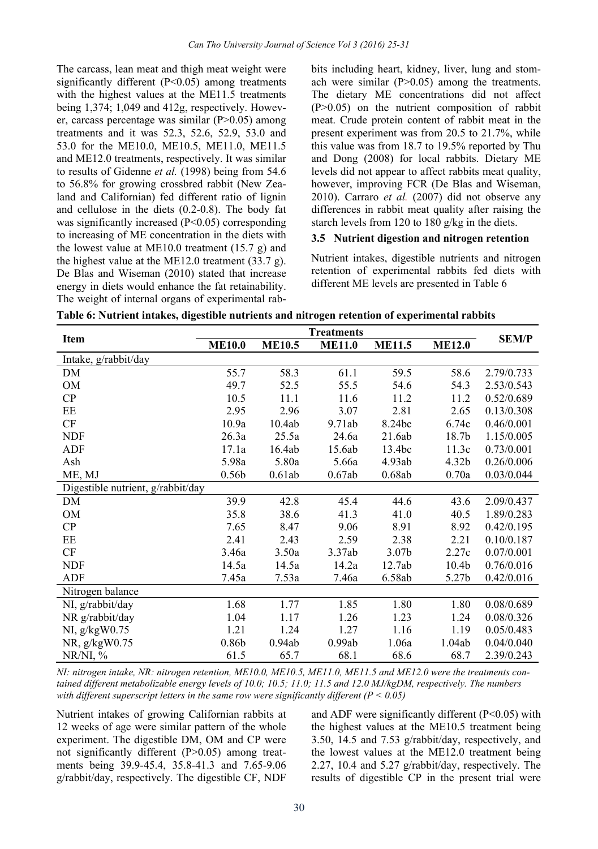The carcass, lean meat and thigh meat weight were significantly different  $(P<0.05)$  among treatments with the highest values at the ME11.5 treatments being 1,374; 1,049 and 412g, respectively. However, carcass percentage was similar (P>0.05) among treatments and it was 52.3, 52.6, 52.9, 53.0 and 53.0 for the ME10.0, ME10.5, ME11.0, ME11.5 and ME12.0 treatments, respectively. It was similar to results of Gidenne *et al.* (1998) being from 54.6 to 56.8% for growing crossbred rabbit (New Zealand and Californian) fed different ratio of lignin and cellulose in the diets (0.2-0.8). The body fat was significantly increased (P<0.05) corresponding to increasing of ME concentration in the diets with the lowest value at ME10.0 treatment (15.7 g) and the highest value at the ME12.0 treatment (33.7 g). De Blas and Wiseman (2010) stated that increase energy in diets would enhance the fat retainability. The weight of internal organs of experimental rabbits including heart, kidney, liver, lung and stomach were similar (P>0.05) among the treatments. The dietary ME concentrations did not affect (P>0.05) on the nutrient composition of rabbit meat. Crude protein content of rabbit meat in the present experiment was from 20.5 to 21.7%, while this value was from 18.7 to 19.5% reported by Thu and Dong (2008) for local rabbits. Dietary ME levels did not appear to affect rabbits meat quality, however, improving FCR (De Blas and Wiseman, 2010). Carraro *et al.* (2007) did not observe any differences in rabbit meat quality after raising the starch levels from 120 to 180 g/kg in the diets.

#### **3.5 Nutrient digestion and nitrogen retention**

Nutrient intakes, digestible nutrients and nitrogen retention of experimental rabbits fed diets with different ME levels are presented in Table 6

| Table 6: Nutrient intakes, digestible nutrients and nitrogen retention of experimental rabbits |  |  |
|------------------------------------------------------------------------------------------------|--|--|
|                                                                                                |  |  |

| <b>Item</b>                       |                   | <b>SEM/P</b>  |               |                   |                   |            |
|-----------------------------------|-------------------|---------------|---------------|-------------------|-------------------|------------|
|                                   | <b>ME10.0</b>     | <b>ME10.5</b> | <b>ME11.0</b> | <b>ME11.5</b>     | <b>ME12.0</b>     |            |
| Intake, g/rabbit/day              |                   |               |               |                   |                   |            |
| DM                                | 55.7              | 58.3          | 61.1          | 59.5              | 58.6              | 2.79/0.733 |
| OM                                | 49.7              | 52.5          | 55.5          | 54.6              | 54.3              | 2.53/0.543 |
| CP                                | 10.5              | 11.1          | 11.6          | 11.2              | 11.2              | 0.52/0.689 |
| EE                                | 2.95              | 2.96          | 3.07          | 2.81              | 2.65              | 0.13/0.308 |
| CF                                | 10.9a             | 10.4ab        | 9.71ab        | 8.24bc            | 6.74c             | 0.46/0.001 |
| <b>NDF</b>                        | 26.3a             | 25.5a         | 24.6a         | 21.6ab            | 18.7b             | 1.15/0.005 |
| ADF                               | 17.1a             | 16.4ab        | 15.6ab        | 13.4bc            | 11.3c             | 0.73/0.001 |
| Ash                               | 5.98a             | 5.80a         | 5.66a         | 4.93ab            | 4.32 <sub>b</sub> | 0.26/0.006 |
| ME, MJ                            | 0.56 <sub>b</sub> | 0.61ab        | 0.67ab        | 0.68ab            | 0.70a             | 0.03/0.044 |
| Digestible nutrient, g/rabbit/day |                   |               |               |                   |                   |            |
| DM                                | 39.9              | 42.8          | 45.4          | 44.6              | 43.6              | 2.09/0.437 |
| <b>OM</b>                         | 35.8              | 38.6          | 41.3          | 41.0              | 40.5              | 1.89/0.283 |
| CP                                | 7.65              | 8.47          | 9.06          | 8.91              | 8.92              | 0.42/0.195 |
| EE                                | 2.41              | 2.43          | 2.59          | 2.38              | 2.21              | 0.10/0.187 |
| CF                                | 3.46a             | 3.50a         | 3.37ab        | 3.07 <sub>b</sub> | 2.27c             | 0.07/0.001 |
| <b>NDF</b>                        | 14.5a             | 14.5a         | 14.2a         | 12.7ab            | 10.4 <sub>b</sub> | 0.76/0.016 |
| ADF                               | 7.45a             | 7.53a         | 7.46a         | 6.58ab            | 5.27b             | 0.42/0.016 |
| Nitrogen balance                  |                   |               |               |                   |                   |            |
| NI, g/rabbit/day                  | 1.68              | 1.77          | 1.85          | 1.80              | 1.80              | 0.08/0.689 |
| NR g/rabbit/day                   | 1.04              | 1.17          | 1.26          | 1.23              | 1.24              | 0.08/0.326 |
| NI, $g/kgW0.75$                   | 1.21              | 1.24          | 1.27          | 1.16              | 1.19              | 0.05/0.483 |
| NR, g/kgW0.75                     | 0.86 <sub>b</sub> | 0.94ab        | 0.99ab        | 1.06a             | 1.04ab            | 0.04/0.040 |
| NR/NI, %                          | 61.5              | 65.7          | 68.1          | 68.6              | 68.7              | 2.39/0.243 |

*NI: nitrogen intake, NR: nitrogen retention, ME10.0, ME10.5, ME11.0, ME11.5 and ME12.0 were the treatments contained different metabolizable energy levels of 10.0; 10.5; 11.0; 11.5 and 12.0 MJ/kgDM, respectively. The numbers with different superscript letters in the same row were significantly different (P < 0.05)* 

Nutrient intakes of growing Californian rabbits at 12 weeks of age were similar pattern of the whole experiment. The digestible DM, OM and CP were not significantly different (P>0.05) among treatments being 39.9-45.4, 35.8-41.3 and 7.65-9.06 g/rabbit/day, respectively. The digestible CF, NDF

and ADF were significantly different  $(P<0.05)$  with the highest values at the ME10.5 treatment being 3.50, 14.5 and 7.53 g/rabbit/day, respectively, and the lowest values at the ME12.0 treatment being 2.27, 10.4 and 5.27 g/rabbit/day, respectively. The results of digestible CP in the present trial were